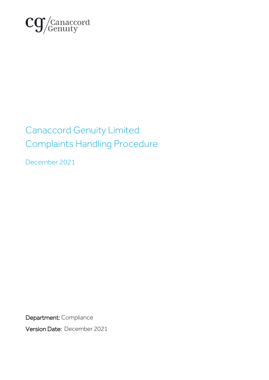

# Canaccord Genuity Limited Complaints Handling Procedure

December 2021

Department: Compliance

Version Date: December 2021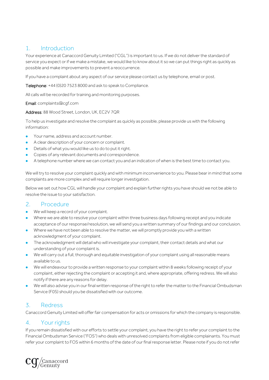# 1. Introduction

Your experience at Canaccord Genuity Limited ("CGL") is important to us. If we do not deliver the standard of service you expect or if we make a mistake, we would like to know about it so we can put things right as quickly as possible and make improvements to prevent a reoccurrence.

If you have a complaint about any aspect of our service please contact us by telephone, email or post.

Telephone: +44 (0)20 7523 8000 and ask to speak to Compliance.

All calls will be recorded for training and monitoring purposes.

#### Email: complaints@cgf.com

Address: 88 Wood Street, London, UK, EC2V 7QR

To help us investigate and resolve the complaint as quickly as possible, please provide us with the following information:

- ⚫ Your name, address and account number.
- A clear description of your concern or complaint.
- ⚫ Details of what you would like us to do to put it right.
- ⚫ Copies of any relevant documents and correspondence.
- ⚫ A telephone number where we can contact you and an indication of when is the best time to contact you.

We will try to resolve your complaint quickly and with minimum inconvenience to you. Please bear in mind that some complaints are more complex and will require longer investigation.

Below we set out how CGL will handle your complaint and explain further rights you have should we not be able to resolve the issue to your satisfaction.

### 2. Procedure

- ⚫ We will keep a record of your complaint.
- Where we are able to resolve your complaint within three business days following receipt and you indicate acceptance of our response/resolution, we will send you a written summary of our findings and our conclusion.
- Where we have not been able to resolve the matter, we will promptly provide you with a written acknowledgment of your complaint.
- ⚫ The acknowledgment will detail who will investigate your complaint, their contact details and what our understanding of your complaint is.
- ⚫ We will carry out a full, thorough and equitable investigation of your complaint using all reasonable means available to us.
- ⚫ We will endeavour to provide a written response to your complaint within 8 weeks following receipt of your complaint, either rejecting the complaint or accepting it and, where appropriate, offering redress. We will also notify if there are any reasons for delay.
- ⚫ We will also advise you in our final written response of the right to refer the matter to the Financial Ombudsman Service (F0S) should you be dissatisfied with our outcome.

# 3. Redress

Canaccord Genuity Limited will offer fair compensation for acts or omissions for which the company is responsible.

# 4. Your rights

If you remain dissatisfied with our efforts to settle your complaint, you have the right to refer your complaint to the Financial Ombudsman Service ("FOS") who deals with unresolved complaints from eligible complainants. You must refer your complaint to FOS within 6 months of the date of our final response letter. Please note if you do not refer